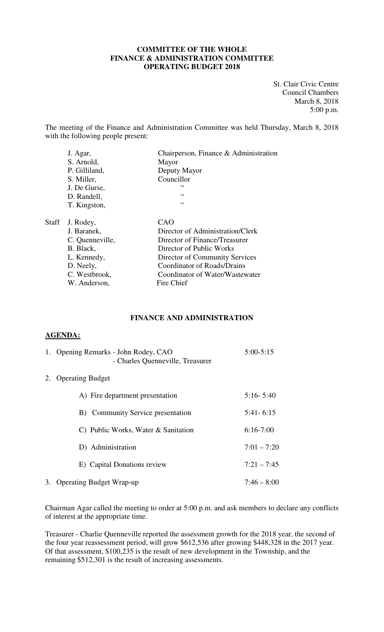## **COMMITTEE OF THE WHOLE FINANCE & ADMINISTRATION COMMITTEE OPERATING BUDGET 2018**

St. Clair Civic Centre Council Chambers March 8, 2018 5:00 p.m.

The meeting of the Finance and Administration Committee was held Thursday, March 8, 2018 with the following people present:

|       | J. Agar,        | Chairperson, Finance & Administration |
|-------|-----------------|---------------------------------------|
|       | S. Arnold,      | Mayor                                 |
|       | P. Gilliland,   | Deputy Mayor                          |
|       | S. Miller,      | Councillor                            |
|       | J. De Gurse,    | ،،                                    |
|       | D. Randell,     | 66                                    |
|       | T. Kingston,    | 66                                    |
| Staff | J. Rodey,       | CAO                                   |
|       | J. Baranek,     | Director of Administration/Clerk      |
|       | C. Quenneville, | Director of Finance/Treasurer         |
|       | B. Black,       | Director of Public Works              |
|       | L. Kennedy,     | Director of Community Services        |
|       | D. Neely,       | Coordinator of Roads/Drains           |
|       | C. Westbrook,   | Coordinator of Water/Wastewater       |
|       | W. Anderson,    | Fire Chief                            |

## **FINANCE AND ADMINISTRATION**

## **AGENDA:**

| 1. Opening Remarks - John Rodey, CAO<br>- Charles Quenneville, Treasurer | $5:00 - 5:15$ |
|--------------------------------------------------------------------------|---------------|
| 2. Operating Budget                                                      |               |
| A) Fire department presentation                                          | $5:16 - 5:40$ |
| B) Community Service presentation                                        | $5:41 - 6:15$ |
| C) Public Works, Water & Sanitation                                      | $6:16-7:00$   |
| D) Administration                                                        | $7:01 - 7:20$ |
| E) Capital Donations review                                              | $7:21 - 7:45$ |
| 3. Operating Budget Wrap-up                                              | $7:46 - 8:00$ |

Chairman Agar called the meeting to order at 5:00 p.m. and ask members to declare any conflicts of interest at the appropriate time.

Treasurer - Charlie Quenneville reported the assessment growth for the 2018 year, the second of the four year reassessment period, will grow \$612,536 after growing \$448,328 in the 2017 year. Of that assessment, \$100,235 is the result of new development in the Township, and the remaining \$512,301 is the result of increasing assessments.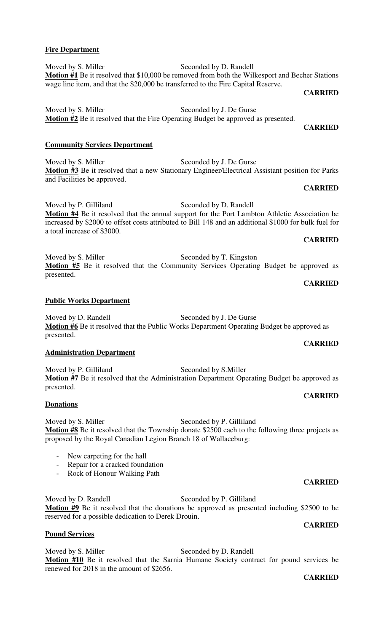## **CARRIED**

Moved by D. Randell Seconded by J. De Gurse **Motion #6** Be it resolved that the Public Works Department Operating Budget be approved as presented.

## **Administration Department**

Moved by P. Gilliland Seconded by S. Miller **Motion #7** Be it resolved that the Administration Department Operating Budget be approved as

## **Donations**

Moved by S. Miller Seconded by P. Gilliland **Motion #8** Be it resolved that the Township donate \$2500 each to the following three projects as proposed by the Royal Canadian Legion Branch 18 of Wallaceburg:

- New carpeting for the hall
- Repair for a cracked foundation
- Rock of Honour Walking Path

Moved by D. Randell Seconded by P. Gilliland **Motion #9** Be it resolved that the donations be approved as presented including \$2500 to be reserved for a possible dedication to Derek Drouin.

## **Pound Services**

Moved by S. Miller Seconded by D. Randell **Motion #10** Be it resolved that the Sarnia Humane Society contract for pound services be renewed for 2018 in the amount of \$2656.

## **Fire Department**

Moved by S. Miller Seconded by D. Randell **Motion #1** Be it resolved that \$10,000 be removed from both the Wilkesport and Becher Stations wage line item, and that the \$20,000 be transferred to the Fire Capital Reserve.

Moved by S. Miller Seconded by J. De Gurse

Moved by S. Miller Seconded by J. De Gurse

Moved by P. Gilliland Seconded by D. Randell

Moved by S. Miller Seconded by T. Kingston

## **CARRIED**

**Motion #2** Be it resolved that the Fire Operating Budget be approved as presented. **CARRIED** 

# **Motion #3** Be it resolved that a new Stationary Engineer/Electrical Assistant position for Parks

## **CARRIED**

**Motion #4** Be it resolved that the annual support for the Port Lambton Athletic Association be increased by \$2000 to offset costs attributed to Bill 148 and an additional \$1000 for bulk fuel for a total increase of \$3000. **CARRIED** 

**Motion #5** Be it resolved that the Community Services Operating Budget be approved as

## **Public Works Department**

**Community Services Department** 

and Facilities be approved.

presented. **CARRIED** 

presented.

**CARRIED** 

**CARRIED** 

## **CARRIED**

## **CARRIED**